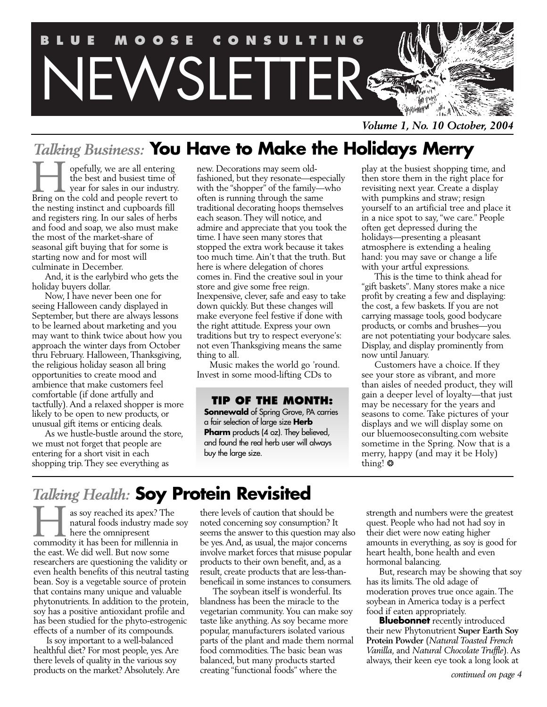

*Volume 1, No. 10 October, 2004*

## *Talking Business:* **You Have to Make the Holidays Merry**

opefully, we are all entering the best and busiest time of year for sales in our industry. **Follow** opefully, we are all entering<br>the best and busiest time of<br>Bring on the cold and people revert to the nesting instinct and cupboards fill and registers ring. In our sales of herbs and food and soap, we also must make the most of the market-share of seasonal gift buying that for some is starting now and for most will culminate in December.

And, it is the earlybird who gets the holiday buyers dollar.

Now, I have never been one for seeing Halloween candy displayed in September, but there are always lessons to be learned about marketing and you may want to think twice about how you approach the winter days from October thru February. Halloween, Thanksgiving, the religious holiday season all bring opportunities to create mood and ambience that make customers feel comfortable (if done artfully and tactfully). And a relaxed shopper is more likely to be open to new products, or unusual gift items or enticing deals.

As we hustle-bustle around the store, we must not forget that people are entering for a short visit in each shopping trip. They see everything as

new. Decorations may seem oldfashioned, but they resonate—especially with the "shopper" of the family—who often is running through the same traditional decorating hoops themselves each season. They will notice, and admire and appreciate that you took the time. I have seen many stores that stopped the extra work because it takes too much time. Ain't that the truth. But here is where delegation of chores comes in. Find the creative soul in your store and give some free reign. Inexpensive, clever, safe and easy to take down quickly. But these changes will make everyone feel festive if done with the right attitude. Express your own traditions but try to respect everyone's: not even Thanksgiving means the same thing to all.

Music makes the world go 'round. Invest in some mood-lifting CDs to

## **TIP OF THE MONTH:**

**Sonnewald** of Spring Grove, PA carries a fair selection of large size **Herb Pharm** products (4 oz). They believed, and found the real herb user will always buy the large size.

play at the busiest shopping time, and then store them in the right place for revisiting next year. Create a display with pumpkins and straw; resign yourself to an artificial tree and place it in a nice spot to say, "we care." People often get depressed during the holidays—presenting a pleasant atmosphere is extending a healing hand: you may save or change a life with your artful expressions.

This is the time to think ahead for "gift baskets". Many stores make a nice profit by creating a few and displaying: the cost, a few baskets. If you are not carrying massage tools, good bodycare products, or combs and brushes—you are not potentiating your bodycare sales. Display, and display prominently from now until January.

Customers have a choice. If they see your store as vibrant, and more than aisles of needed product, they will gain a deeper level of loyalty—that just may be necessary for the years and seasons to come. Take pictures of your displays and we will display some on our bluemooseconsulting.com website sometime in the Spring. Now that is a merry, happy (and may it be Holy) thing! ❂

## *Talking Health:* **Soy Protein Revisited**

as soy reached its apex? The natural foods industry made soy here the omnipresent as soy reached its apex? The natural foods industry made s<br>here the omnipresent<br>commodity it has been for millennia in the east. We did well. But now some researchers are questioning the validity or even health benefits of this neutral tasting bean. Soy is a vegetable source of protein that contains many unique and valuable phytonutrients. In addition to the protein, soy has a positive antioxidant profile and has been studied for the phyto-estrogenic effects of a number of its compounds.

Is soy important to a well-balanced healthful diet? For most people, yes.Are there levels of quality in the various soy products on the market? Absolutely.Are

there levels of caution that should be noted concerning soy consumption? It seems the answer to this question may also be yes.And, as usual, the major concerns involve market forces that misuse popular products to their own benefit, and, as a result, create products that are less-thanbeneficail in some instances to consumers.

The soybean itself is wonderful. Its blandness has been the miracle to the vegetarian community. You can make soy taste like anything. As soy became more popular, manufacturers isolated various parts of the plant and made them normal food commodities. The basic bean was balanced, but many products started creating "functional foods" where the

strength and numbers were the greatest quest. People who had not had soy in their diet were now eating higher amounts in everything, as soy is good for heart health, bone health and even hormonal balancing.

But, research may be showing that soy has its limits. The old adage of moderation proves true once again. The soybean in America today is a perfect food if eaten appropriately.

**Bluebonnet** recently introduced their new Phytonutrient **Super Earth Soy Protein Powder** (*Natural Toasted French Vanilla*, and *Natural Chocolate Truffle*). As always, their keen eye took a long look at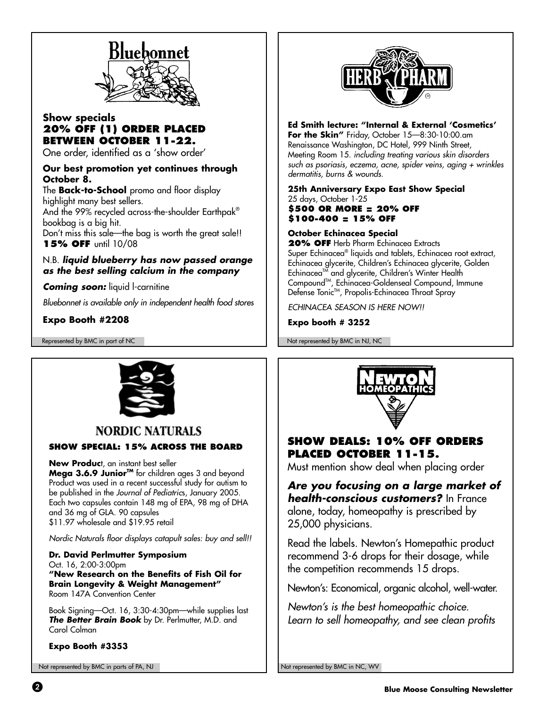

## **Show specials 20% OFF (1) ORDER PLACED BETWEEN OCTOBER 11-22.**

One order, identified as a 'show order'

## **Our best promotion yet continues through October 8.**

The **Back-to-School** promo and floor display highlight many best sellers. And the 99% recycled across-the-shoulder Earthpak® bookbag is a big hit. Don't miss this sale—the bag is worth the great sale!! **15% OFF** until 10/08

## N.B. **liquid blueberry has now passed orange as the best selling calcium in the company**

**Coming soon:** liquid l-carnitine

Bluebonnet is available only in independent health food stores

## **Expo Booth #2208**



## **Ed Smith lecture: "Internal & External 'Cosmetics'**

**For the Skin"** Friday, October 15—8:30-10:00.am Renaissance Washington, DC Hotel, 999 Ninth Street, Meeting Room 15. including treating various skin disorders such as psoriasis, eczema, acne, spider veins, aging + wrinkles dermatitis, burns & wounds.

**25th Anniversary Expo East Show Special** 25 days, October 1-25 **\$500 OR MORE = 20% OFF \$100-400 = 15% OFF**

### **October Echinacea Special**

**20% OFF** Herb Pharm Echinacea Extracts Super Echinacea® liquids and tablets, Echinacea root extract, Echinacea glycerite, Children's Echinacea glycerite, Golden Echinacea<sup>TM</sup> and glycerite, Children's Winter Health CompoundTM, Echinacea-Goldenseal Compound, Immune Defense Tonic™, Propolis-Echinacea Throat Spray

ECHINACEA SEASON IS HERE NOW!!

### **Expo booth # 3252**

Represented by BMC in part of NC Not represented by BMC in NJ, NC



## **NORDIC NATURALS**

### **SHOW SPECIAL: 15% ACROSS THE BOARD**

**New Produc**t, an instant best seller

**Mega 3.6.9 Junior™** for children ages 3 and beyond Product was used in a recent successful study for autism to be published in the Journal of Pediatrics, January 2005. Each two capsules contain 148 mg of EPA, 98 mg of DHA and 36 mg of GLA. 90 capsules \$11.97 wholesale and \$19.95 retail

Nordic Naturals floor displays catapult sales: buy and sell!!

**Dr. David Perlmutter Symposium** Oct. 16, 2:00-3:00pm **"New Research on the Benefits of Fish Oil for Brain Longevity & Weight Management"** Room 147A Convention Center

Book Signing—Oct. 16, 3:30-4:30pm—while supplies last **The Better Brain Book** by Dr. Perlmutter, M.D. and Carol Colman

**Expo Booth #3353**

Not represented by BMC in parts of PA, NJ Not represented by BMC in NC, WV



## **SHOW DEALS: 10% OFF ORDERS PLACED OCTOBER 11-15.**

Must mention show deal when placing order

**Are you focusing on a large market of health-conscious customers?** In France alone, today, homeopathy is prescribed by 25,000 physicians.

Read the labels. Newton's Homepathic product recommend 3-6 drops for their dosage, while the competition recommends 15 drops.

Newton's: Economical, organic alcohol, well-water.

Newton's is the best homeopathic choice. Learn to sell homeopathy, and see clean profits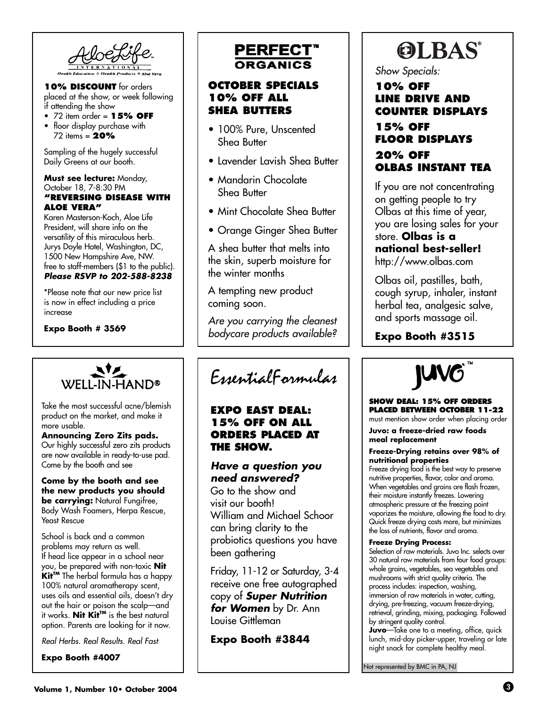**10% DISCOUNT** for orders placed at the show, or week following if attending the show

- 72 item order = **15% OFF**
- floor display purchase with 72 items = **20%**

Sampling of the hugely successful Daily Greens at our booth.

#### **Must see lecture:** Monday, October 18, 7-8:30 PM **"REVERSING DISEASE WITH ALOE VERA"**

Karen Masterson-Koch, Aloe Life President, will share info on the versatility of this miraculous herb. Jurys Doyle Hotel, Washington, DC, 1500 New Hampshire Ave, NW. free to staff-members (\$1 to the public). **Please RSVP to 202-588-8238**

\*Please note that our new price list is now in effect including a price increase

#### **Expo Booth # 3569**



Take the most successful acne/blemish product on the market, and make it more usable.

**Announcing Zero Zits pads.** Our highly successful zero zits products are now available in ready-to-use pad. Come by the booth and see

#### **Come by the booth and see the new products you should be carrying:** Natural Fungifree, Body Wash Foamers, Herpa Rescue, Yeast Rescue

School is back and a common problems may return as well. If head lice appear in a school near you, be prepared with non-toxic **Nit Kit™** The herbal formula has a happy 100% natural aromatherapy scent, uses oils and essential oils, doesn't dry out the hair or poison the scalp—and it works. **Nit KitTM** is the best natural option. Parents are looking for it now.

Real Herbs. Real Results. Real Fast

**Expo Booth #4007**

# **PERFECT**\*

## **OCTOBER SPECIALS 10% OFF ALL SHEA BUTTERS**

- 100% Pure, Unscented Shea Butter
- Lavender Lavish Shea Butter
- Mandarin Chocolate Shea Butter
- Mint Chocolate Shea Butter
- Orange Ginger Shea Butter

A shea butter that melts into the skin, superb moisture for the winter months

A tempting new product coming soon.

Are you carrying the cleanest bodycare products available?

EssentialFormulas

## **EXPO EAST DEAL: 15% OFF ON ALL ORDERS PLACED AT THE SHOW.**

## **Have a question you need answered?**

Go to the show and visit our booth! William and Michael Schoor can bring clarity to the probiotics questions you have been gathering

Friday, 11-12 or Saturday, 3-4 receive one free autographed copy of **Super Nutrition for Women** by Dr. Ann Louise Gittleman

**Expo Booth #3844**

# **OLBAS®**

Show Specials:

## **10% OFF LINE DRIVE AND COUNTER DISPLAYS 15% OFF FLOOR DISPLAYS 20% OFF OLBAS INSTANT TEA**

If you are not concentrating on getting people to try Olbas at this time of year, you are losing sales for your store. **Olbas is a**

## **national best-seller!** http://www.olbas.com

Olbas oil, pastilles, bath, cough syrup, inhaler, instant herbal tea, analgesic salve, and sports massage oil.

**Expo Booth #3515**



#### **SHOW DEAL: 15% OFF ORDERS PLACED BETWEEN OCTOBER 11-22**

must mention show order when placing order

**Juvo: a freeze-dried raw foods meal replacement**

#### **Freeze-Drying retains over 98% of nutritional properties**

Freeze drying food is the best way to preserve nutritive properties, flavor, color and aroma. When vegetables and grains are flash frozen, their moisture instantly freezes. Lowering atmospheric pressure at the freezing point vaporizes the moisture, allowing the food to dry. Quick freeze drying costs more, but minimizes the loss of nutrients, flavor and aroma.

#### **Freeze Drying Process:**

Selection of raw materials. Juvo Inc. selects over 30 natural raw materials from four food groups: whole grains, vegetables, sea vegetables and mushrooms with strict quality criteria. The process includes: inspection, washing, immersion of raw materials in water, cutting, drying, pre-freezing, vacuum freeze-drying, retrieval, grinding, mixing, packaging. Followed by stringent quality control.

**Juvo**—Take one to a meeting, office, quick lunch, mid-day picker-upper, traveling or late night snack for complete healthy meal.

Not represented by BMC in PA, NJ